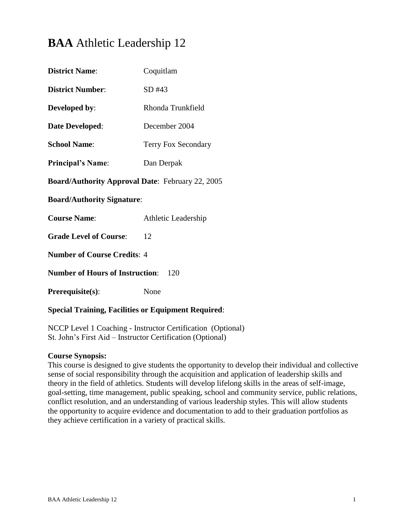# **BAA** Athletic Leadership 12

| Coquitlam                                               |  |  |
|---------------------------------------------------------|--|--|
| SD #43                                                  |  |  |
| Rhonda Trunkfield                                       |  |  |
| December 2004                                           |  |  |
| Terry Fox Secondary                                     |  |  |
| Dan Derpak                                              |  |  |
| <b>Board/Authority Approval Date: February 22, 2005</b> |  |  |
| <b>Board/Authority Signature:</b>                       |  |  |
| Athletic Leadership                                     |  |  |
| 12                                                      |  |  |
| <b>Number of Course Credits: 4</b>                      |  |  |
| <b>Number of Hours of Instruction:</b><br>120           |  |  |
| None                                                    |  |  |
|                                                         |  |  |

# **Special Training, Facilities or Equipment Required**:

NCCP Level 1 Coaching - Instructor Certification (Optional) St. John's First Aid – Instructor Certification (Optional)

#### **Course Synopsis:**

This course is designed to give students the opportunity to develop their individual and collective sense of social responsibility through the acquisition and application of leadership skills and theory in the field of athletics. Students will develop lifelong skills in the areas of self-image, goal-setting, time management, public speaking, school and community service, public relations, conflict resolution, and an understanding of various leadership styles. This will allow students the opportunity to acquire evidence and documentation to add to their graduation portfolios as they achieve certification in a variety of practical skills.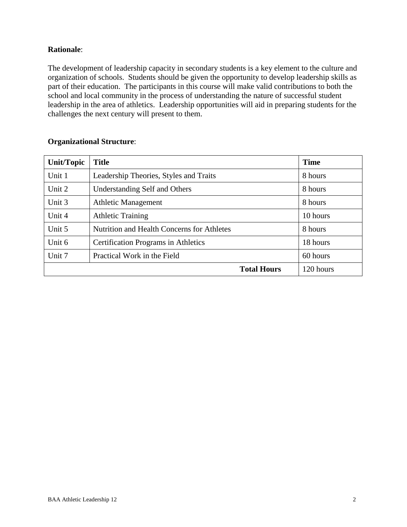# **Rationale**:

The development of leadership capacity in secondary students is a key element to the culture and organization of schools. Students should be given the opportunity to develop leadership skills as part of their education. The participants in this course will make valid contributions to both the school and local community in the process of understanding the nature of successful student leadership in the area of athletics. Leadership opportunities will aid in preparing students for the challenges the next century will present to them.

| <b>Unit/Topic</b> | <b>Title</b>                                      | <b>Time</b> |
|-------------------|---------------------------------------------------|-------------|
| Unit 1            | Leadership Theories, Styles and Traits            | 8 hours     |
| Unit 2            | Understanding Self and Others                     | 8 hours     |
| Unit 3            | <b>Athletic Management</b>                        | 8 hours     |
| Unit 4            | <b>Athletic Training</b>                          | 10 hours    |
| Unit 5            | <b>Nutrition and Health Concerns for Athletes</b> | 8 hours     |
| Unit 6            | <b>Certification Programs in Athletics</b>        | 18 hours    |
| Unit 7            | Practical Work in the Field                       | 60 hours    |
|                   | <b>Total Hours</b>                                | 120 hours   |

### **Organizational Structure**: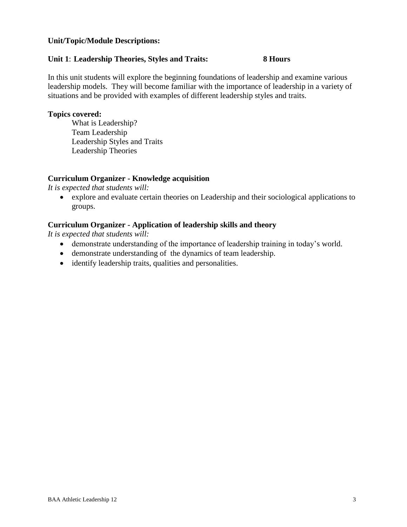#### **Unit/Topic/Module Descriptions:**

#### **Unit 1**: **Leadership Theories, Styles and Traits: 8 Hours**

In this unit students will explore the beginning foundations of leadership and examine various leadership models. They will become familiar with the importance of leadership in a variety of situations and be provided with examples of different leadership styles and traits.

#### **Topics covered:**

What is Leadership? Team Leadership Leadership Styles and Traits Leadership Theories

#### **Curriculum Organizer - Knowledge acquisition**

*It is expected that students will:*

 explore and evaluate certain theories on Leadership and their sociological applications to groups.

# **Curriculum Organizer - Application of leadership skills and theory**

*It is expected that students will:*

- demonstrate understanding of the importance of leadership training in today's world.
- demonstrate understanding of the dynamics of team leadership.
- identify leadership traits, qualities and personalities.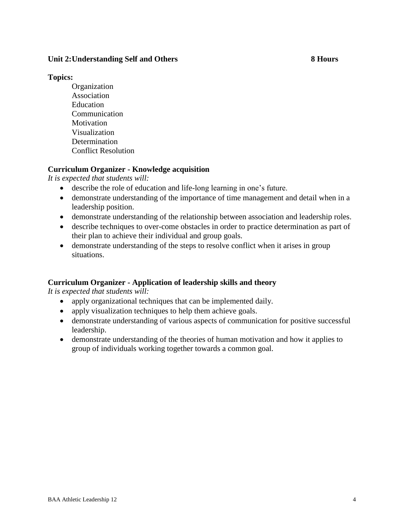### **Unit 2:Understanding Self and Others 8 Hours**

#### **Topics:**

**Organization** Association Education Communication **Motivation** Visualization Determination Conflict Resolution

# **Curriculum Organizer - Knowledge acquisition**

*It is expected that students will:*

- describe the role of education and life-long learning in one's future.
- demonstrate understanding of the importance of time management and detail when in a leadership position.
- demonstrate understanding of the relationship between association and leadership roles.
- describe techniques to over-come obstacles in order to practice determination as part of their plan to achieve their individual and group goals.
- demonstrate understanding of the steps to resolve conflict when it arises in group situations.

# **Curriculum Organizer - Application of leadership skills and theory**

*It is expected that students will:*

- apply organizational techniques that can be implemented daily.
- apply visualization techniques to help them achieve goals.
- demonstrate understanding of various aspects of communication for positive successful leadership.
- demonstrate understanding of the theories of human motivation and how it applies to group of individuals working together towards a common goal.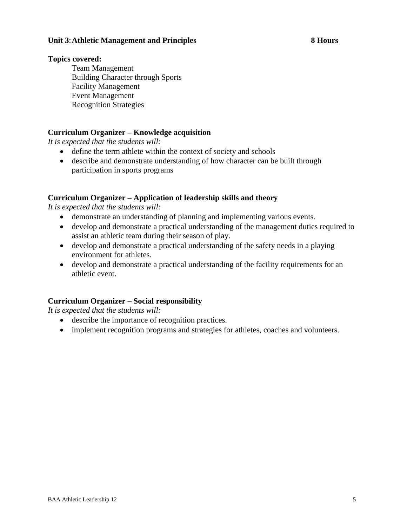#### **Unit 3**:**Athletic Management and Principles 8 Hours**

#### **Topics covered:**

Team Management Building Character through Sports Facility Management Event Management Recognition Strategies

### **Curriculum Organizer – Knowledge acquisition**

*It is expected that the students will:*

- define the term athlete within the context of society and schools
- describe and demonstrate understanding of how character can be built through participation in sports programs

### **Curriculum Organizer – Application of leadership skills and theory**

*It is expected that the students will:*

- demonstrate an understanding of planning and implementing various events.
- develop and demonstrate a practical understanding of the management duties required to assist an athletic team during their season of play.
- develop and demonstrate a practical understanding of the safety needs in a playing environment for athletes.
- develop and demonstrate a practical understanding of the facility requirements for an athletic event.

# **Curriculum Organizer – Social responsibility**

*It is expected that the students will:*

- describe the importance of recognition practices.
- implement recognition programs and strategies for athletes, coaches and volunteers.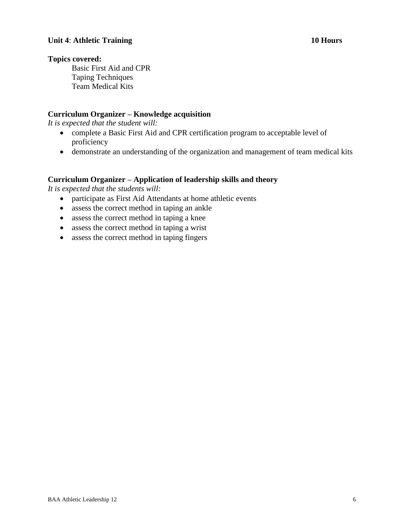#### **Unit 4**: **Athletic Training 10 Hours**

#### **Topics covered:**

Basic First Aid and CPR Taping Techniques Team Medical Kits

#### **Curriculum Organizer – Knowledge acquisition**

*It is expected that the student will:*

- complete a Basic First Aid and CPR certification program to acceptable level of proficiency
- demonstrate an understanding of the organization and management of team medical kits

#### **Curriculum Organizer – Application of leadership skills and theory**

*It is expected that the students will:*

- participate as First Aid Attendants at home athletic events
- assess the correct method in taping an ankle
- assess the correct method in taping a knee
- assess the correct method in taping a wrist
- assess the correct method in taping fingers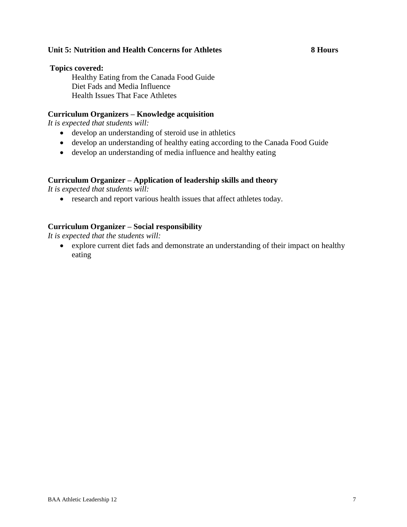### **Unit 5: Nutrition and Health Concerns for Athletes 8 Hours**

#### **Topics covered:**

Healthy Eating from the Canada Food Guide Diet Fads and Media Influence Health Issues That Face Athletes

#### **Curriculum Organizers – Knowledge acquisition**

*It is expected that students will:*

- develop an understanding of steroid use in athletics
- develop an understanding of healthy eating according to the Canada Food Guide
- develop an understanding of media influence and healthy eating

### **Curriculum Organizer – Application of leadership skills and theory**

*It is expected that students will:*

research and report various health issues that affect athletes today.

### **Curriculum Organizer – Social responsibility**

*It is expected that the students will:*

 explore current diet fads and demonstrate an understanding of their impact on healthy eating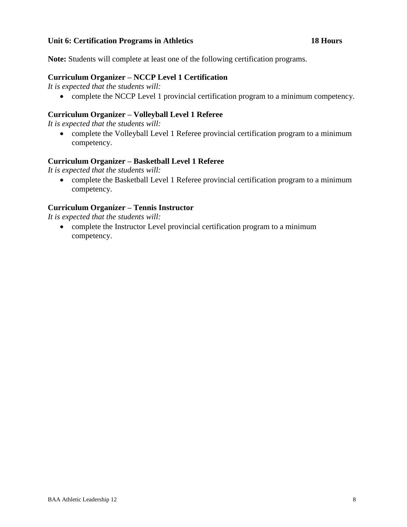#### **Unit 6: Certification Programs in Athletics 18 Hours**

**Note:** Students will complete at least one of the following certification programs.

#### **Curriculum Organizer – NCCP Level 1 Certification**

*It is expected that the students will:*

complete the NCCP Level 1 provincial certification program to a minimum competency.

### **Curriculum Organizer – Volleyball Level 1 Referee**

*It is expected that the students will:*

 complete the Volleyball Level 1 Referee provincial certification program to a minimum competency.

### **Curriculum Organizer – Basketball Level 1 Referee**

*It is expected that the students will:*

 complete the Basketball Level 1 Referee provincial certification program to a minimum competency.

# **Curriculum Organizer – Tennis Instructor**

*It is expected that the students will:*

 complete the Instructor Level provincial certification program to a minimum competency.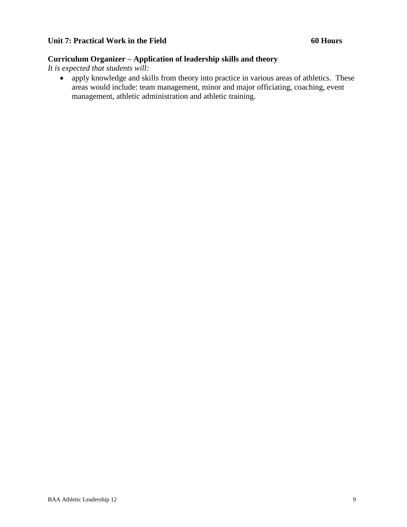# **Curriculum Organizer – Application of leadership skills and theory**

*It is expected that students will:*

• apply knowledge and skills from theory into practice in various areas of athletics. These areas would include: team management, minor and major officiating, coaching, event management, athletic administration and athletic training.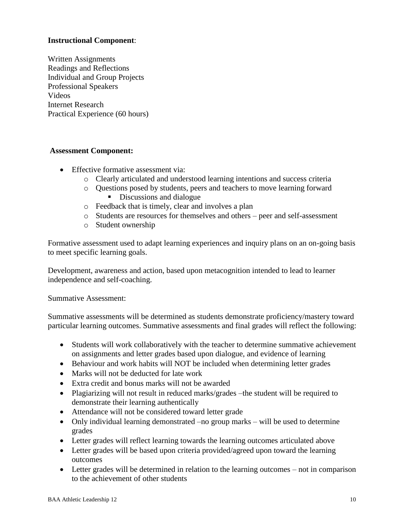# **Instructional Component**:

Written Assignments Readings and Reflections Individual and Group Projects Professional Speakers Videos Internet Research Practical Experience (60 hours)

#### **Assessment Component:**

- Effective formative assessment via:
	- o Clearly articulated and understood learning intentions and success criteria
	- o Questions posed by students, peers and teachers to move learning forward Discussions and dialogue
	- o Feedback that is timely, clear and involves a plan
	- o Students are resources for themselves and others peer and self-assessment
	- o Student ownership

Formative assessment used to adapt learning experiences and inquiry plans on an on-going basis to meet specific learning goals.

Development, awareness and action, based upon metacognition intended to lead to learner independence and self-coaching.

Summative Assessment:

Summative assessments will be determined as students demonstrate proficiency/mastery toward particular learning outcomes. Summative assessments and final grades will reflect the following:

- Students will work collaboratively with the teacher to determine summative achievement on assignments and letter grades based upon dialogue, and evidence of learning
- Behaviour and work habits will NOT be included when determining letter grades
- Marks will not be deducted for late work
- Extra credit and bonus marks will not be awarded
- Plagiarizing will not result in reduced marks/grades –the student will be required to demonstrate their learning authentically
- Attendance will not be considered toward letter grade
- Only individual learning demonstrated –no group marks will be used to determine grades
- Letter grades will reflect learning towards the learning outcomes articulated above
- Letter grades will be based upon criteria provided/agreed upon toward the learning outcomes
- Letter grades will be determined in relation to the learning outcomes not in comparison to the achievement of other students